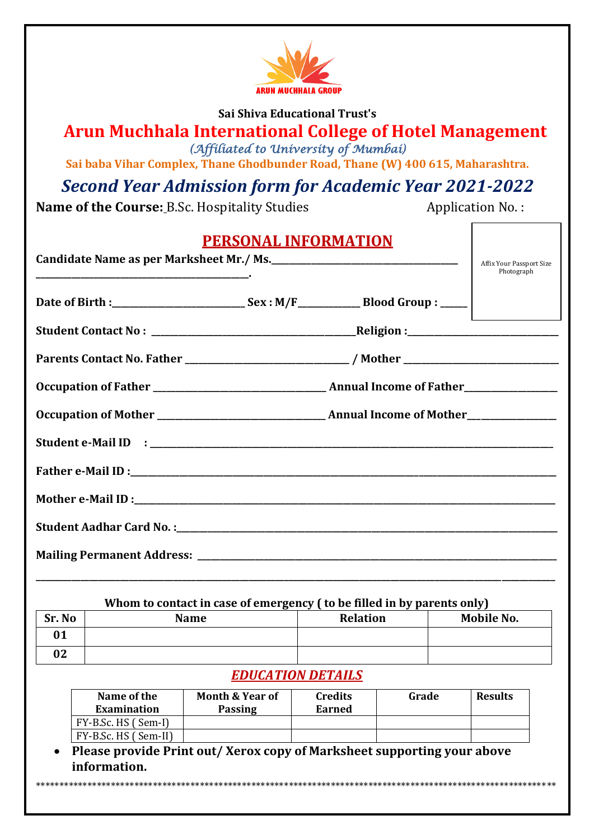

#### **Sai Shiva Educational Trust's**

### **Arun Muchhala International College of Hotel Management** *(Affiliated to University of Mumbai)*

**Sai baba Vihar Complex, Thane Ghodbunder Road, Thane (W) 400 615, Maharashtra.**

## *Second Year Admission form for Academic Year 2021-2022*

**Name of the Course: B.Sc. Hospitality Studies Application No.:** 

| <b>PERSONAL INFORMATION</b>              |                                                                                                      |  |  |  |
|------------------------------------------|------------------------------------------------------------------------------------------------------|--|--|--|
| Candidate Name as per Marksheet Mr./ Ms. | Affix Your Passport Size<br>Photograph                                                               |  |  |  |
|                                          |                                                                                                      |  |  |  |
|                                          |                                                                                                      |  |  |  |
|                                          | Parents Contact No. Father ______________________________/ Mother __________________________________ |  |  |  |
|                                          |                                                                                                      |  |  |  |
|                                          |                                                                                                      |  |  |  |
|                                          |                                                                                                      |  |  |  |
|                                          |                                                                                                      |  |  |  |
|                                          |                                                                                                      |  |  |  |
|                                          |                                                                                                      |  |  |  |
|                                          |                                                                                                      |  |  |  |
|                                          |                                                                                                      |  |  |  |

#### **Whom to contact in case of emergency ( to be filled in by parents only)**

| Sr. No | <b>Name</b> | <b>Relation</b> | Mobile No. |
|--------|-------------|-----------------|------------|
| ∩ ⊿    |             |                 |            |
| 02     |             |                 |            |

#### *EDUCATION DETAILS*

| Name of the<br>Examination | <b>Month &amp; Year of</b><br><b>Passing</b> | Credits<br>Earned | Grade | <b>Results</b> |
|----------------------------|----------------------------------------------|-------------------|-------|----------------|
|                            |                                              |                   |       |                |
| FY-B.Sc. HS (Sem-I)        |                                              |                   |       |                |
| FY-B.Sc. HS (Sem-II)       |                                              |                   |       |                |

 **Please provide Print out/ Xerox copy of Marksheet supporting your above information.**

\*\*\*\*\*\*\*\*\*\*\*\*\*\*\*\*\*\*\*\*\*\*\*\*\*\*\*\*\*\*\*\*\*\*\*\*\*\*\*\*\*\*\*\*\*\*\*\*\*\*\*\*\*\*\*\*\*\*\*\*\*\*\*\*\*\*\*\*\*\*\*\*\*\*\*\*\*\*\*\*\*\*\*\*\*\*\*\*\*\*\*\*\*\*\*\*\*\*\*\*\*\*\*\*\*\*\*\*\*\*\*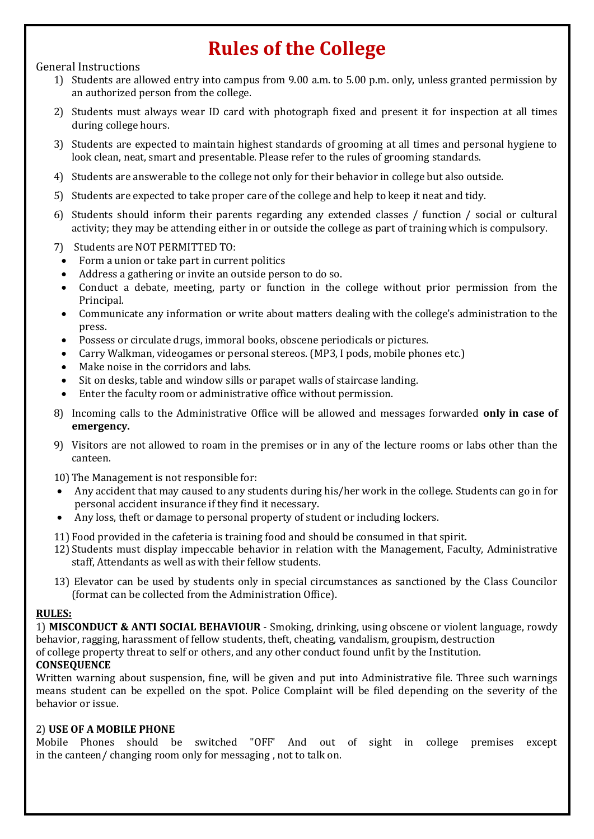# **Rules of the College**

#### General Instructions

- 1) Students are allowed entry into campus from 9.00 a.m. to 5.00 p.m. only, unless granted permission by an authorized person from the college.
- 2) Students must always wear ID card with photograph fixed and present it for inspection at all times during college hours.
- 3) Students are expected to maintain highest standards of grooming at all times and personal hygiene to look clean, neat, smart and presentable. Please refer to the rules of grooming standards.
- 4) Students are answerable to the college not only for their behavior in college but also outside.
- 5) Students are expected to take proper care of the college and help to keep it neat and tidy.
- 6) Students should inform their parents regarding any extended classes / function / social or cultural activity; they may be attending either in or outside the college as part of training which is compulsory.
- 7) Students are NOT PERMITTED TO:
- Form a union or take part in current politics
- Address a gathering or invite an outside person to do so.
- Conduct a debate, meeting, party or function in the college without prior permission from the Principal.
- Communicate any information or write about matters dealing with the college's administration to the press.
- Possess or circulate drugs, immoral books, obscene periodicals or pictures.
- Carry Walkman, videogames or personal stereos. (MP3, I pods, mobile phones etc.)
- Make noise in the corridors and labs.
- Sit on desks, table and window sills or parapet walls of staircase landing.
- Enter the faculty room or administrative office without permission.
- 8) Incoming calls to the Administrative Office will be allowed and messages forwarded **only in case of emergency.**
- 9) Visitors are not allowed to roam in the premises or in any of the lecture rooms or labs other than the canteen.
- 10) The Management is not responsible for:
- Any accident that may caused to any students during his/her work in the college. Students can go in for personal accident insurance if they find it necessary.
- Any loss, theft or damage to personal property of student or including lockers.
- 11) Food provided in the cafeteria is training food and should be consumed in that spirit.
- 12) Students must display impeccable behavior in relation with the Management, Faculty, Administrative staff, Attendants as well as with their fellow students.
- 13) Elevator can be used by students only in special circumstances as sanctioned by the Class Councilor (format can be collected from the Administration Office).

#### **RULES:**

1) **MISCONDUCT & ANTI SOCIAL BEHAVIOUR** - Smoking, drinking, using obscene or violent language, rowdy behavior, ragging, harassment of fellow students, theft, cheating, vandalism, groupism, destruction of college property threat to self or others, and any other conduct found unfit by the Institution.

#### **CONSEQUENCE**

Written warning about suspension, fine, will be given and put into Administrative file. Three such warnings means student can be expelled on the spot. Police Complaint will be filed depending on the severity of the behavior or issue.

#### 2) **USE OF A MOBILE PHONE**

Mobile Phones should be switched "OFF' And out of sight in college premises except in the canteen/ changing room only for messaging , not to talk on.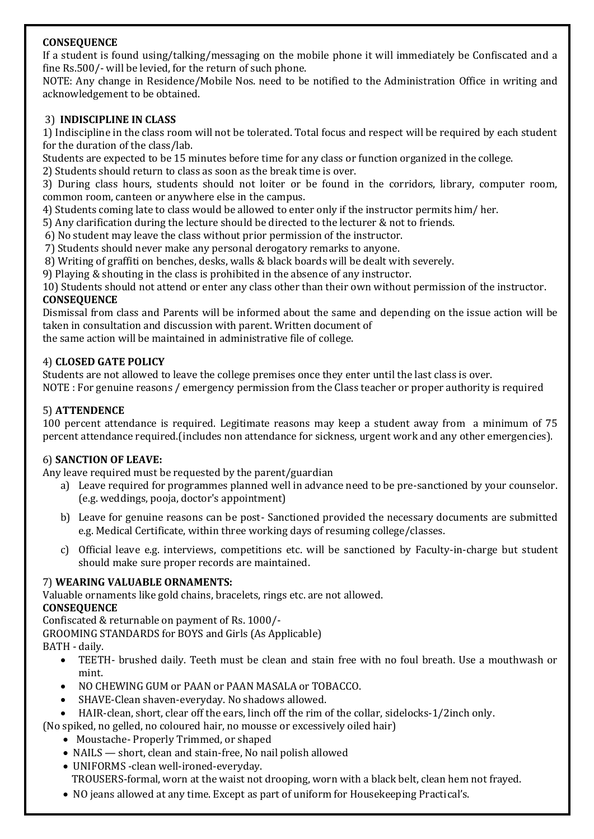#### **CONSEQUENCE**

If a student is found using/talking/messaging on the mobile phone it will immediately be Confiscated and a fine Rs.500/- will be levied, for the return of such phone.

NOTE: Any change in Residence/Mobile Nos. need to be notified to the Administration Office in writing and acknowledgement to be obtained.

#### 3) **INDISCIPLINE IN CLASS**

1) Indiscipline in the class room will not be tolerated. Total focus and respect will be required by each student for the duration of the class/lab.

Students are expected to be 15 minutes before time for any class or function organized in the college.

2) Students should return to class as soon as the break time is over.

3) During class hours, students should not loiter or be found in the corridors, library, computer room, common room, canteen or anywhere else in the campus.

4) Students coming late to class would be allowed to enter only if the instructor permits him/ her.

5) Any clarification during the lecture should be directed to the lecturer & not to friends.

6) No student may leave the class without prior permission of the instructor.

7) Students should never make any personal derogatory remarks to anyone.

8) Writing of graffiti on benches, desks, walls & black boards will be dealt with severely.

9) Playing & shouting in the class is prohibited in the absence of any instructor.

10) Students should not attend or enter any class other than their own without permission of the instructor. **CONSEQUENCE**

Dismissal from class and Parents will be informed about the same and depending on the issue action will be taken in consultation and discussion with parent. Written document of

the same action will be maintained in administrative file of college.

#### 4) **CLOSED GATE POLICY**

Students are not allowed to leave the college premises once they enter until the last class is over.

NOTE : For genuine reasons / emergency permission from the Class teacher or proper authority is required

#### 5) **ATTENDENCE**

100 percent attendance is required. Legitimate reasons may keep a student away from a minimum of 75 percent attendance required.(includes non attendance for sickness, urgent work and any other emergencies).

#### 6) **SANCTION OF LEAVE:**

Any leave required must be requested by the parent/guardian

- a) Leave required for programmes planned well in advance need to be pre-sanctioned by your counselor. (e.g. weddings, pooja, doctor's appointment)
- b) Leave for genuine reasons can be post- Sanctioned provided the necessary documents are submitted e.g. Medical Certificate, within three working days of resuming college/classes.
- c) Official leave e.g. interviews, competitions etc. will be sanctioned by Faculty-in-charge but student should make sure proper records are maintained.

#### 7) **WEARING VALUABLE ORNAMENTS:**

Valuable ornaments like gold chains, bracelets, rings etc. are not allowed.

#### **CONSEQUENCE**

Confiscated & returnable on payment of Rs. 1000/-

GROOMING STANDARDS for BOYS and Girls (As Applicable)

BATH - daily.

- TEETH- brushed daily. Teeth must be clean and stain free with no foul breath. Use a mouthwash or mint.
- NO CHEWING GUM or PAAN or PAAN MASALA or TOBACCO.
- SHAVE-Clean shaven-everyday. No shadows allowed.
- HAIR-clean, short, clear off the ears, linch off the rim of the collar, sidelocks-1/2inch only.
- (No spiked, no gelled, no coloured hair, no mousse or excessively oiled hair)
	- Moustache- Properly Trimmed, or shaped
	- NAILS short, clean and stain-free, No nail polish allowed
	- UNIFORMS -clean well-ironed-everyday. TROUSERS-formal, worn at the waist not drooping, worn with a black belt, clean hem not frayed.
	- NO jeans allowed at any time. Except as part of uniform for Housekeeping Practical's.